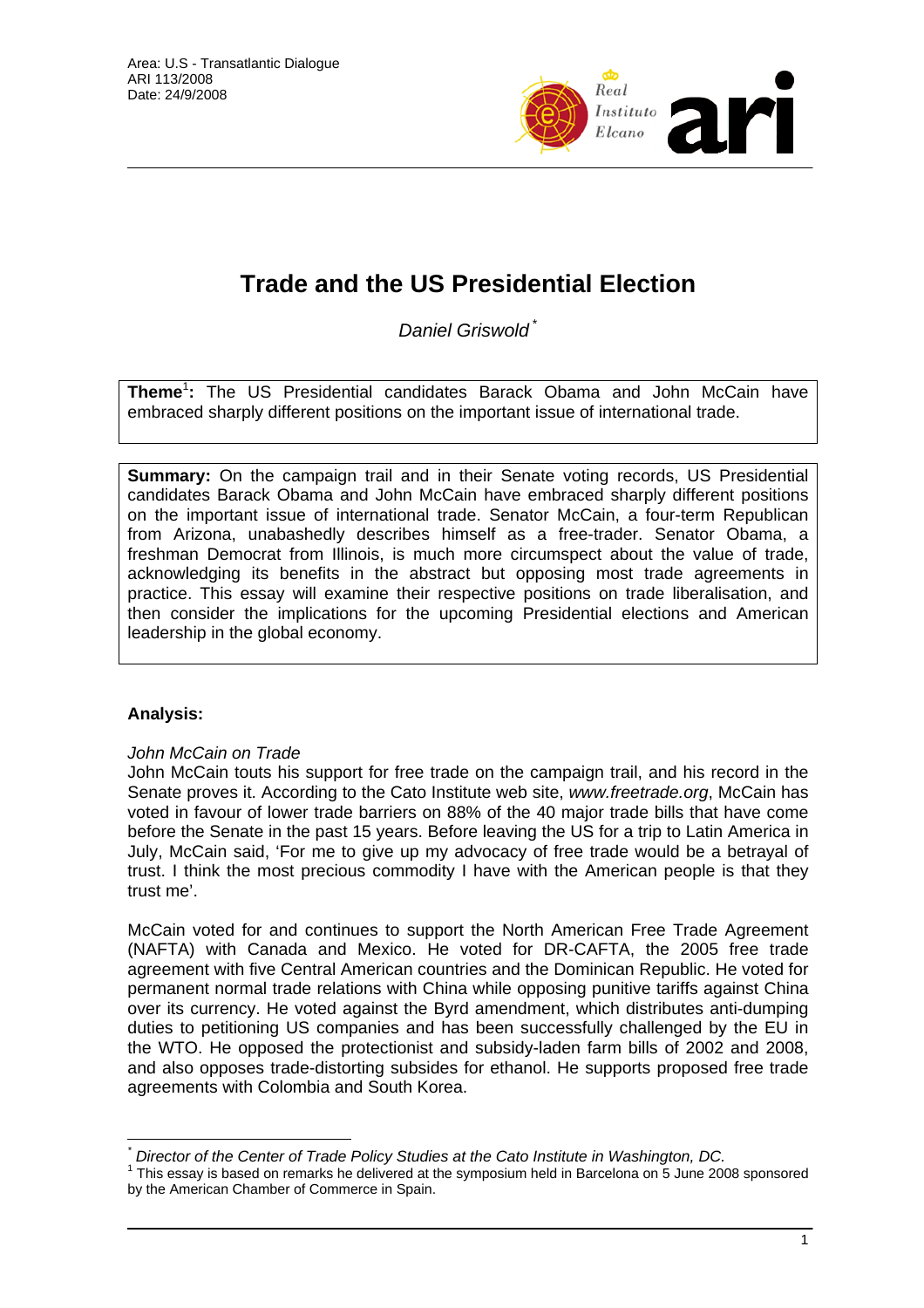

# **Trade and the US Presidential Election**

*Daniel Griswold* \*

**Theme**<sup>1</sup> **:** The US Presidential candidates Barack Obama and John McCain have embraced sharply different positions on the important issue of international trade.

**Summary:** On the campaign trail and in their Senate voting records, US Presidential candidates Barack Obama and John McCain have embraced sharply different positions on the important issue of international trade. Senator McCain, a four-term Republican from Arizona, unabashedly describes himself as a free-trader. Senator Obama, a freshman Democrat from Illinois, is much more circumspect about the value of trade, acknowledging its benefits in the abstract but opposing most trade agreements in practice. This essay will examine their respective positions on trade liberalisation, and then consider the implications for the upcoming Presidential elections and American leadership in the global economy.

## **Analysis:**

 $\overline{a}$ 

### *John McCain on Trade*

John McCain touts his support for free trade on the campaign trail, and his record in the Senate proves it. According to the Cato Institute web site, *www.freetrade.org*, McCain has voted in favour of lower trade barriers on 88% of the 40 major trade bills that have come before the Senate in the past 15 years. Before leaving the US for a trip to Latin America in July, McCain said, 'For me to give up my advocacy of free trade would be a betrayal of trust. I think the most precious commodity I have with the American people is that they trust me'.

McCain voted for and continues to support the North American Free Trade Agreement (NAFTA) with Canada and Mexico. He voted for DR-CAFTA, the 2005 free trade agreement with five Central American countries and the Dominican Republic. He voted for permanent normal trade relations with China while opposing punitive tariffs against China over its currency. He voted against the Byrd amendment, which distributes anti-dumping duties to petitioning US companies and has been successfully challenged by the EU in the WTO. He opposed the protectionist and subsidy-laden farm bills of 2002 and 2008, and also opposes trade-distorting subsides for ethanol. He supports proposed free trade agreements with Colombia and South Korea.

*<sup>\*</sup> Director of the Center of Trade Policy Studies at the Cato Institute in Washington, DC.* <sup>1</sup>

 $1$  This essay is based on remarks he delivered at the symposium held in Barcelona on 5 June 2008 sponsored by the American Chamber of Commerce in Spain.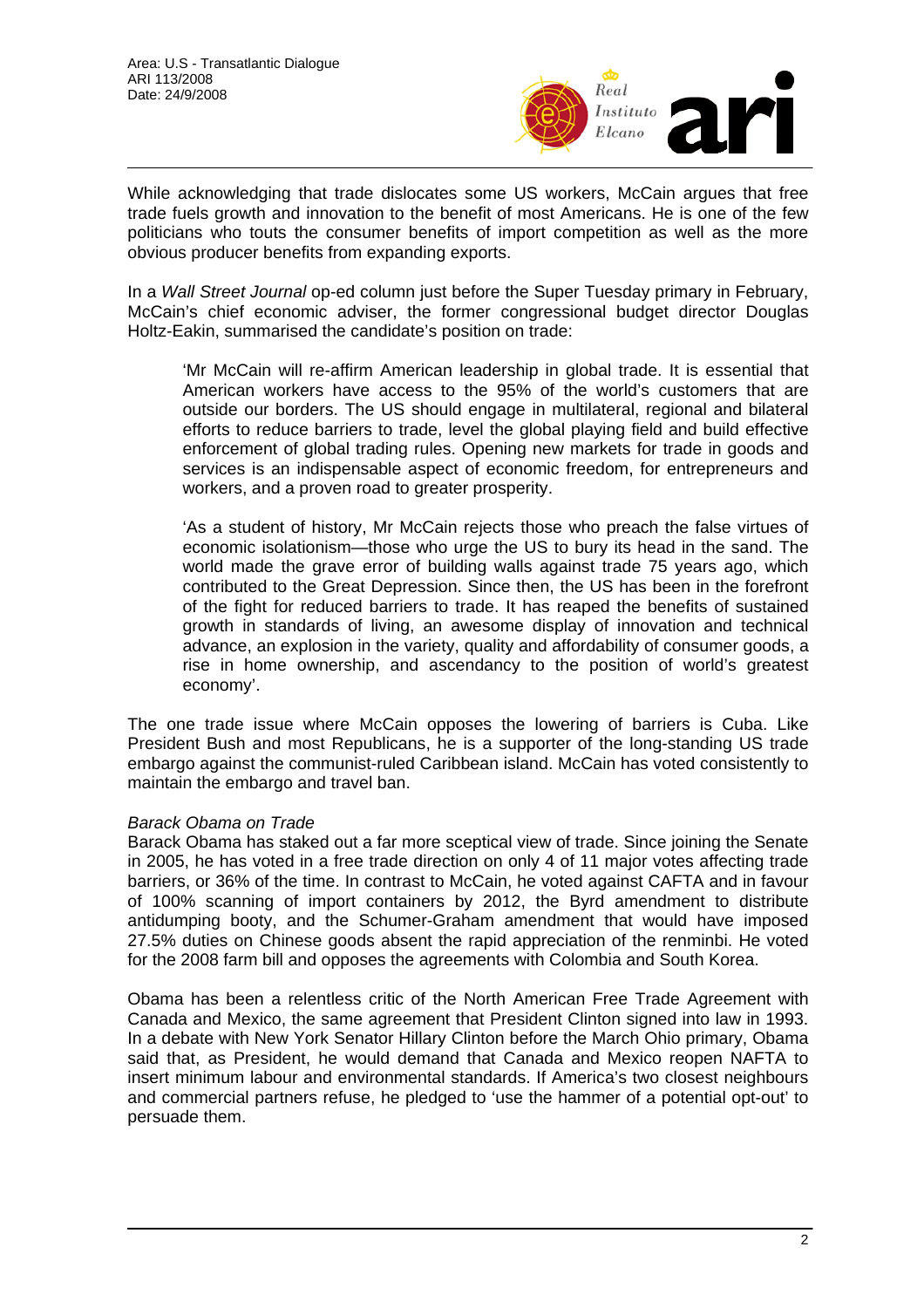

While acknowledging that trade dislocates some US workers, McCain argues that free trade fuels growth and innovation to the benefit of most Americans. He is one of the few politicians who touts the consumer benefits of import competition as well as the more obvious producer benefits from expanding exports.

In a *Wall Street Journal* op-ed column just before the Super Tuesday primary in February, McCain's chief economic adviser, the former congressional budget director Douglas Holtz-Eakin, summarised the candidate's position on trade:

'Mr McCain will re-affirm American leadership in global trade. It is essential that American workers have access to the 95% of the world's customers that are outside our borders. The US should engage in multilateral, regional and bilateral efforts to reduce barriers to trade, level the global playing field and build effective enforcement of global trading rules. Opening new markets for trade in goods and services is an indispensable aspect of economic freedom, for entrepreneurs and workers, and a proven road to greater prosperity.

'As a student of history, Mr McCain rejects those who preach the false virtues of economic isolationism—those who urge the US to bury its head in the sand. The world made the grave error of building walls against trade 75 years ago, which contributed to the Great Depression. Since then, the US has been in the forefront of the fight for reduced barriers to trade. It has reaped the benefits of sustained growth in standards of living, an awesome display of innovation and technical advance, an explosion in the variety, quality and affordability of consumer goods, a rise in home ownership, and ascendancy to the position of world's greatest economy'.

The one trade issue where McCain opposes the lowering of barriers is Cuba. Like President Bush and most Republicans, he is a supporter of the long-standing US trade embargo against the communist-ruled Caribbean island. McCain has voted consistently to maintain the embargo and travel ban.

#### *Barack Obama on Trade*

Barack Obama has staked out a far more sceptical view of trade. Since joining the Senate in 2005, he has voted in a free trade direction on only 4 of 11 major votes affecting trade barriers, or 36% of the time. In contrast to McCain, he voted against CAFTA and in favour of 100% scanning of import containers by 2012, the Byrd amendment to distribute antidumping booty, and the Schumer-Graham amendment that would have imposed 27.5% duties on Chinese goods absent the rapid appreciation of the renminbi. He voted for the 2008 farm bill and opposes the agreements with Colombia and South Korea.

Obama has been a relentless critic of the North American Free Trade Agreement with Canada and Mexico, the same agreement that President Clinton signed into law in 1993. In a debate with New York Senator Hillary Clinton before the March Ohio primary, Obama said that, as President, he would demand that Canada and Mexico reopen NAFTA to insert minimum labour and environmental standards. If America's two closest neighbours and commercial partners refuse, he pledged to 'use the hammer of a potential opt-out' to persuade them.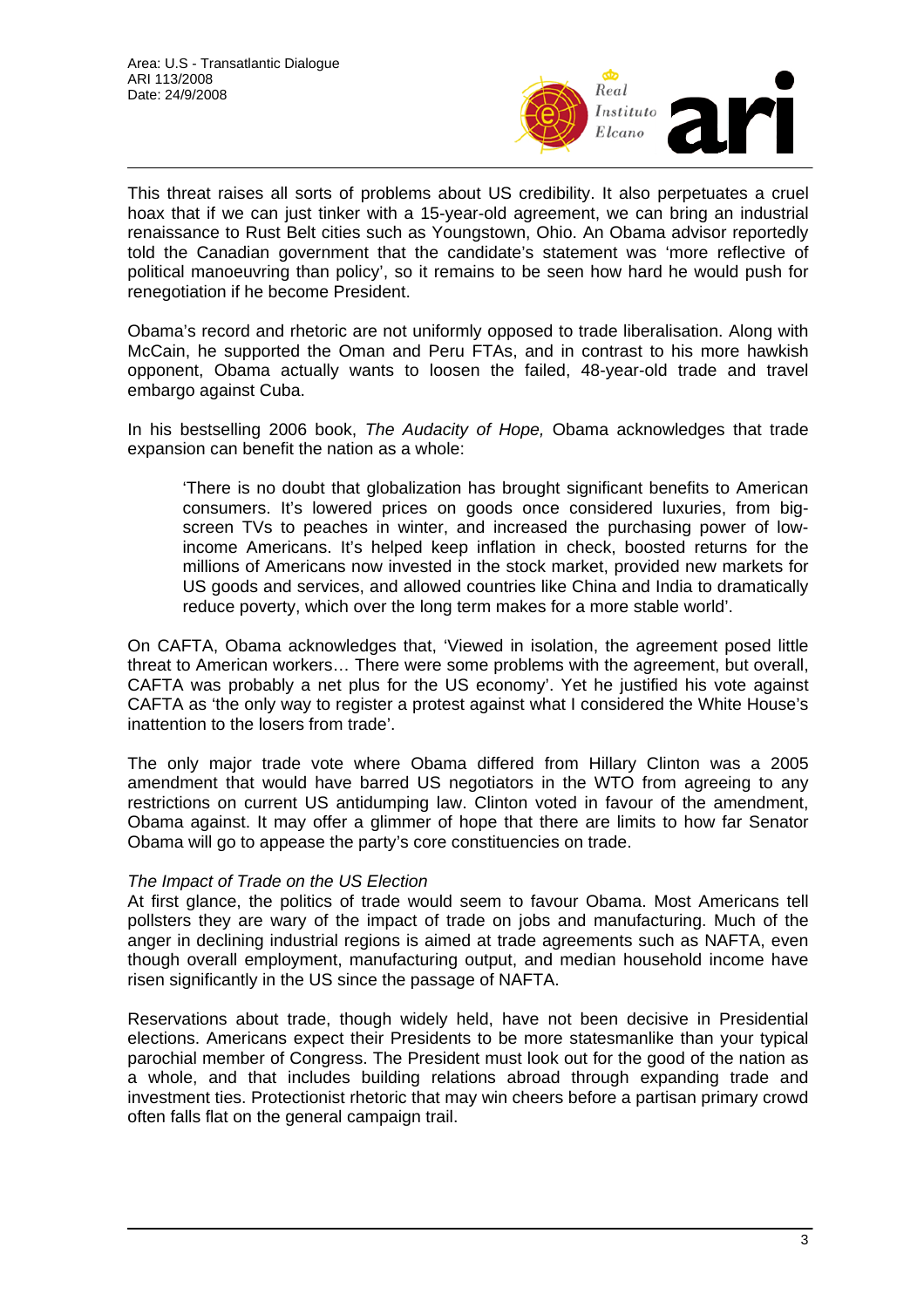

This threat raises all sorts of problems about US credibility. It also perpetuates a cruel hoax that if we can just tinker with a 15-year-old agreement, we can bring an industrial renaissance to Rust Belt cities such as Youngstown, Ohio. An Obama advisor reportedly told the Canadian government that the candidate's statement was 'more reflective of political manoeuvring than policy', so it remains to be seen how hard he would push for renegotiation if he become President.

Obama's record and rhetoric are not uniformly opposed to trade liberalisation. Along with McCain, he supported the Oman and Peru FTAs, and in contrast to his more hawkish opponent, Obama actually wants to loosen the failed, 48-year-old trade and travel embargo against Cuba.

In his bestselling 2006 book, *The Audacity of Hope,* Obama acknowledges that trade expansion can benefit the nation as a whole:

'There is no doubt that globalization has brought significant benefits to American consumers. It's lowered prices on goods once considered luxuries, from bigscreen TVs to peaches in winter, and increased the purchasing power of lowincome Americans. It's helped keep inflation in check, boosted returns for the millions of Americans now invested in the stock market, provided new markets for US goods and services, and allowed countries like China and India to dramatically reduce poverty, which over the long term makes for a more stable world'.

On CAFTA, Obama acknowledges that, 'Viewed in isolation, the agreement posed little threat to American workers… There were some problems with the agreement, but overall, CAFTA was probably a net plus for the US economy'. Yet he justified his vote against CAFTA as 'the only way to register a protest against what I considered the White House's inattention to the losers from trade'.

The only major trade vote where Obama differed from Hillary Clinton was a 2005 amendment that would have barred US negotiators in the WTO from agreeing to any restrictions on current US antidumping law. Clinton voted in favour of the amendment, Obama against. It may offer a glimmer of hope that there are limits to how far Senator Obama will go to appease the party's core constituencies on trade.

#### *The Impact of Trade on the US Election*

At first glance, the politics of trade would seem to favour Obama. Most Americans tell pollsters they are wary of the impact of trade on jobs and manufacturing. Much of the anger in declining industrial regions is aimed at trade agreements such as NAFTA, even though overall employment, manufacturing output, and median household income have risen significantly in the US since the passage of NAFTA.

Reservations about trade, though widely held, have not been decisive in Presidential elections. Americans expect their Presidents to be more statesmanlike than your typical parochial member of Congress. The President must look out for the good of the nation as a whole, and that includes building relations abroad through expanding trade and investment ties. Protectionist rhetoric that may win cheers before a partisan primary crowd often falls flat on the general campaign trail.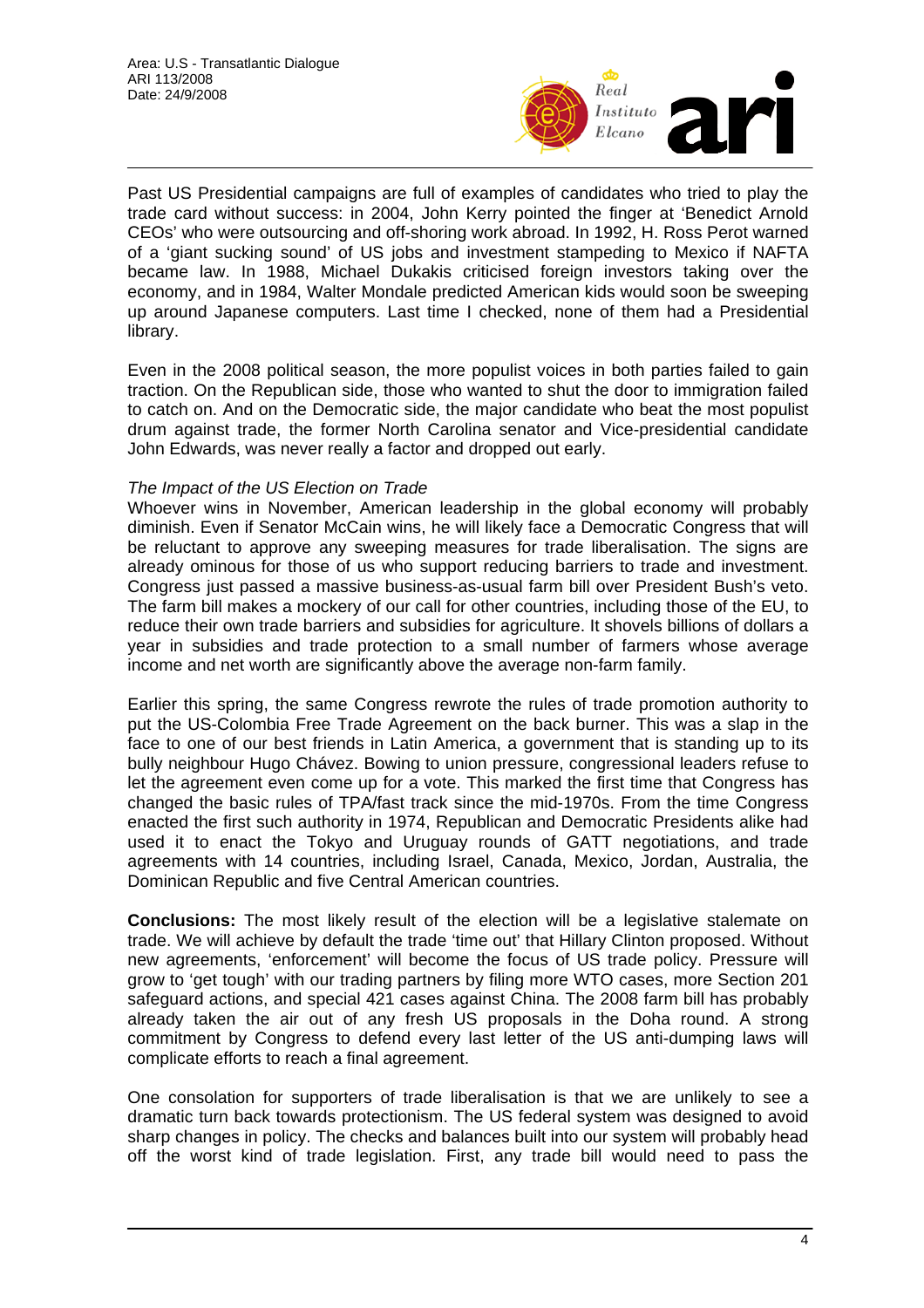

Past US Presidential campaigns are full of examples of candidates who tried to play the trade card without success: in 2004, John Kerry pointed the finger at 'Benedict Arnold CEOs' who were outsourcing and off-shoring work abroad. In 1992, H. Ross Perot warned of a 'giant sucking sound' of US jobs and investment stampeding to Mexico if NAFTA became law. In 1988, Michael Dukakis criticised foreign investors taking over the economy, and in 1984, Walter Mondale predicted American kids would soon be sweeping up around Japanese computers. Last time I checked, none of them had a Presidential library.

Even in the 2008 political season, the more populist voices in both parties failed to gain traction. On the Republican side, those who wanted to shut the door to immigration failed to catch on. And on the Democratic side, the major candidate who beat the most populist drum against trade, the former North Carolina senator and Vice-presidential candidate John Edwards, was never really a factor and dropped out early.

#### *The Impact of the US Election on Trade*

Whoever wins in November, American leadership in the global economy will probably diminish. Even if Senator McCain wins, he will likely face a Democratic Congress that will be reluctant to approve any sweeping measures for trade liberalisation. The signs are already ominous for those of us who support reducing barriers to trade and investment. Congress just passed a massive business-as-usual farm bill over President Bush's veto. The farm bill makes a mockery of our call for other countries, including those of the EU, to reduce their own trade barriers and subsidies for agriculture. It shovels billions of dollars a year in subsidies and trade protection to a small number of farmers whose average income and net worth are significantly above the average non-farm family.

Earlier this spring, the same Congress rewrote the rules of trade promotion authority to put the US-Colombia Free Trade Agreement on the back burner. This was a slap in the face to one of our best friends in Latin America, a government that is standing up to its bully neighbour Hugo Chávez. Bowing to union pressure, congressional leaders refuse to let the agreement even come up for a vote. This marked the first time that Congress has changed the basic rules of TPA/fast track since the mid-1970s. From the time Congress enacted the first such authority in 1974, Republican and Democratic Presidents alike had used it to enact the Tokyo and Uruguay rounds of GATT negotiations, and trade agreements with 14 countries, including Israel, Canada, Mexico, Jordan, Australia, the Dominican Republic and five Central American countries.

**Conclusions:** The most likely result of the election will be a legislative stalemate on trade. We will achieve by default the trade 'time out' that Hillary Clinton proposed. Without new agreements, 'enforcement' will become the focus of US trade policy. Pressure will grow to 'get tough' with our trading partners by filing more WTO cases, more Section 201 safeguard actions, and special 421 cases against China. The 2008 farm bill has probably already taken the air out of any fresh US proposals in the Doha round. A strong commitment by Congress to defend every last letter of the US anti-dumping laws will complicate efforts to reach a final agreement.

One consolation for supporters of trade liberalisation is that we are unlikely to see a dramatic turn back towards protectionism. The US federal system was designed to avoid sharp changes in policy. The checks and balances built into our system will probably head off the worst kind of trade legislation. First, any trade bill would need to pass the